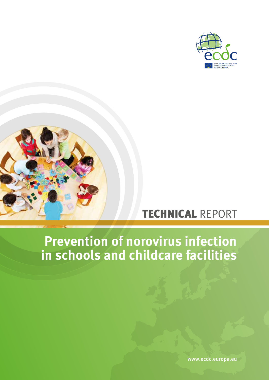



# TECHNICAL REPORT

# **Prevention of norovirus infection in schools and childcare facilities**

www.ecdc.europa.eu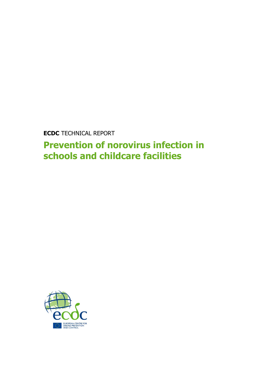**ECDC** TECHNICAL REPORT

**Prevention of norovirus infection in schools and childcare facilities**

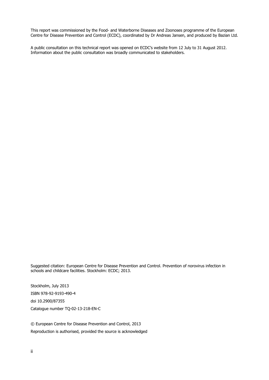This report was commissioned by the Food- and Waterborne Diseases and Zoonoses programme of the European Centre for Disease Prevention and Control (ECDC), coordinated by Dr Andreas Jansen, and produced by Bazian Ltd.

A public consultation on this technical report was opened on ECDC's website from 12 July to 31 August 2012. Information about the public consultation was broadly communicated to stakeholders.

Suggested citation: European Centre for Disease Prevention and Control. Prevention of norovirus infection in schools and childcare facilities. Stockholm: ECDC; 2013.

Stockholm, July 2013 ISBN 978-92-9193-490-4 doi 10.2900/87355 Catalogue number TQ-02-13-218-EN-C

© European Centre for Disease Prevention and Control, 2013 Reproduction is authorised, provided the source is acknowledged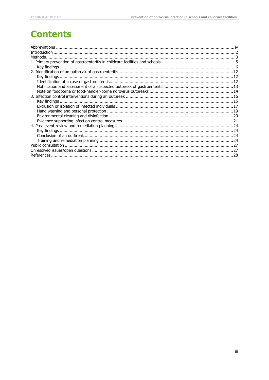## **Contents**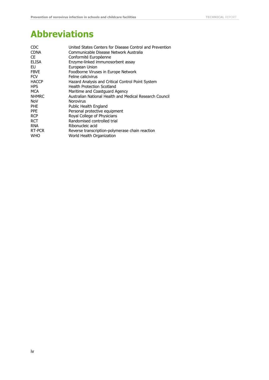## <span id="page-4-0"></span>**Abbreviations**

| <b>CDC</b>   | United States Centers for Disease Control and Prevention |
|--------------|----------------------------------------------------------|
| <b>CDNA</b>  | Communicable Disease Network Australia                   |
| CE.          | Conformité Européenne                                    |
| <b>ELISA</b> | Enzyme-linked immunosorbent assay                        |
| EU           | European Union                                           |
| <b>FBVE</b>  | Foodborne Viruses in Europe Network                      |
| <b>FCV</b>   | Feline calicivirus                                       |
| <b>HACCP</b> | Hazard Analysis and Critical Control Point System        |
| <b>HPS</b>   | <b>Health Protection Scotland</b>                        |
| MCA          | Maritime and Coastguard Agency                           |
| <b>NHMRC</b> | Australian National Health and Medical Research Council  |
| NoV          | <b>Norovirus</b>                                         |
| <b>PHE</b>   | Public Health England                                    |
| <b>PPF</b>   | Personal protective equipment                            |
| <b>RCP</b>   | Royal College of Physicians                              |
| <b>RCT</b>   | Randomised controlled trial                              |
| <b>RNA</b>   | Ribonucleic acid                                         |
| RT-PCR       | Reverse transcription-polymerase chain reaction          |
| <b>WHO</b>   | World Health Organization                                |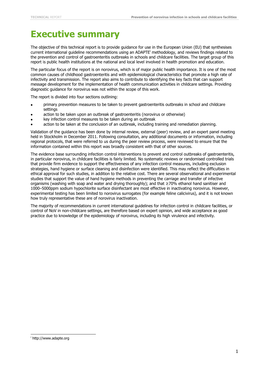## **Executive summary**

The objective of this technical report is to provide guidance for use in the European Union (EU) that synthesises current international quideline recommendations using an ADAPTE<sup>i</sup> methodology, and reviews findings related to the prevention and control of gastroenteritis outbreaks in schools and childcare facilities. The target group of this report is public health institutions at the national and local level involved in health promotion and education.

The particular focus of the report is on norovirus, which is of major public health importance. It is one of the most common causes of childhood gastroenteritis and with epidemiological characteristics that promote a high rate of infectivity and transmission. The report also aims to contribute to identifying the key facts that can support message development for the implementation of health communication activities in childcare settings. Providing diagnostic guidance for norovirus was not within the scope of this work.

The report is divided into four sections outlining:

- primary prevention measures to be taken to prevent gastroenteritis outbreaks in school and childcare settings
- action to be taken upon an outbreak of gastroenteritis (norovirus or otherwise)
- key infection control measures to be taken during an outbreak
- action to be taken at the conclusion of an outbreak, including training and remediation planning.

Validation of the guidance has been done by internal review, external (peer) review, and an expert panel meeting held in Stockholm in December 2011. Following consultation, any additional documents or information, including regional protocols, that were referred to us during the peer review process, were reviewed to ensure that the information contained within this report was broadly consistent with that of other sources.

The evidence base surrounding infection control interventions to prevent and control outbreaks of gastroenteritis, in particular norovirus, in childcare facilities is fairly limited. No systematic reviews or randomised controlled trials that provide firm evidence to support the effectiveness of any infection control measures, including exclusion strategies, hand hygiene or surface cleaning and disinfection were identified. This may reflect the difficulties in ethical approval for such studies, in addition to the relative cost. There are several observational and experimental studies that support the value of hand hygiene methods in preventing the carriage and transfer of infective organisms (washing with soap and water and drying thoroughly); and that ≥70% ethanol hand sanitiser and 1000–5000ppm sodium hypochlorite surface disinfectant are most effective in inactivating norovirus. However, experimental testing has been limited to norovirus surrogates (for example feline calicivirus), and it is not known how truly representative these are of norovirus inactivation.

The majority of recommendations in current international guidelines for infection control in childcare facilities, or control of NoV in non-childcare settings, are therefore based on expert opinion, and wide acceptance as good practice due to knowledge of the epidemiology of norovirus, including its high virulence and infectivity.

i,

i http://www.adapte.org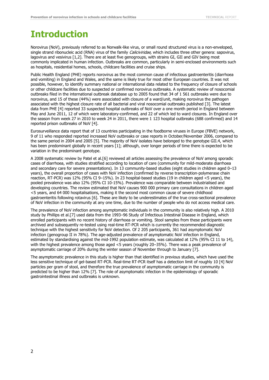## <span id="page-6-0"></span>**Introduction**

Norovirus (NoV), previously referred to as Norwalk-like virus, or small round structured virus is a non-enveloped, single strand ribonucleic acid (RNA) virus of the family *Caliciviridae*, which includes three other genera: sapovirus, lagovirus and vesivirus [1,2]. There are at least five genogroups, with strains GI, GII and GIV being most commonly implicated in human infection. Outbreaks are common, particularly in semi-enclosed environments such as hospitals, residential homes, schools, childcare facilities and cruise ships.

Public Health England (PHE) reports norovirus as the most common cause of infectious gastroenteritis (diarrhoea and vomiting) in England and Wales, and the same is likely true for most other European countries. It was not possible, however, to identify summary national or international data related to the frequency of closure of schools or other childcare facilities due to suspected or confirmed norovirus outbreaks. A systematic review of nosocomial outbreaks filed in the international outbreak database up to 2005 found that 34 of 1 561 outbreaks were due to norovirus, and 15 of these (44%) were associated with closure of a ward/unit, making norovirus the pathogen associated with the highest closure rate of all bacterial and viral nosocomial outbreaks published [3]. The latest data from PHE [4] reported 33 suspected hospital outbreaks of NoV over a one month period in England between May and June 2011, 12 of which were laboratory-confirmed, and 22 of which led to ward closures. In England over the season from week 27 in 2010 to week 24 in 2011, there were 1 123 hospital outbreaks (688 confirmed) and 14 reported prison outbreaks of NoV [4].

Eurosurveillance data report that of 13 countries participating in the foodborne viruses in Europe (FBVE) network, 9 of 11 who responded reported increased NoV outbreaks or case reports in October/November 2006, compared to the same period in 2004 and 2005 [5]. The majority of NoV isolates have belonged to the genotype GII.4, which has been predominant globally in recent years [1]; although, over longer periods of time there is expected to be variation in the predominant genotype.

A 2008 systematic review by Patel et al.[6] reviewed all articles assessing the prevalence of NoV among sporadic cases of diarrhoea, with studies stratified according to location of care (community for mild-moderate diarrhoea and secondary care for severe presentations). In 13 community-based studies (eight studies in children aged 0–13 years), the overall proportion of cases with NoV infection (confirmed by reverse transcription-polymerase chain reaction, RT-PCR) was 12% (95% CI 9–15%). In 23 hospital-based studies (19 in children aged <5 years), the pooled prevalence was also 12% (95% CI 10-15%). Prevalence was comparable between industrialised and developing countries. The review estimated that NoV causes 900 000 primary care consultations in children aged <5 years, and 64 000 hospitalisations, making it the second most common cause of severe childhood gastroenteritis following rotavirus [6]. These are likely to be underestimates of the true cross-sectional prevalence of NoV infection in the community at any one time, due to the number of people who do not access medical care.

The prevalence of NoV infection among asymptomatic individuals in the community is also relatively high. A 2010 study by Phillips et al.[7] used data from the 1993–96 Study of Infectious Intestinal Disease in England, which enrolled participants with no recent history of diarrhoea or vomiting. Stool samples from these participants were archived and subsequently re-tested using real-time RT-PCR which is currently the recommended diagnostic technique with the highest sensitivity for NoV detection. Of 2 205 participants, 361 had asymptomatic NoV infection (genogroup II in 78%). The age-adjusted prevalence of asymptomatic NoV infection in England, estimated by standardising against the mid-1992 population estimate, was calculated at 12% (95% CI 11 to 14), with the highest prevalence among those aged <5 years (roughly 20–35%). There was a peak prevalence of asymptomatic carriage of 20% during the winter season of November through to January [7].

The asymptomatic prevalence in this study is higher than that identified in previous studies, which have used the less sensitive technique of gel-based RT-PCR. Real-time RT-PCR itself has a detection limit of roughly 10 [4] NoV particles per gram of stool, and therefore the true prevalence of asymptomatic carriage in the community is predicted to be higher than 12% [7]. The role of asymptomatic infection in the epidemiology of sporadic gastrointestinal illness and outbreaks is unknown.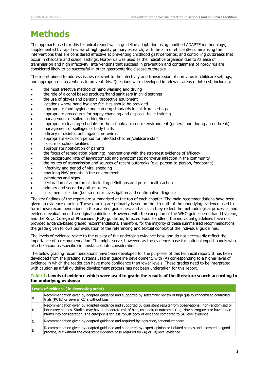## <span id="page-7-0"></span>**Methods**

The approach used for this technical report was a guideline adaptation using modified ADAPTE methodology, supplemented by rapid review of high quality primary research, with the aim of efficiently summarising the interventions that are considered effective at preventing childhood gastroenteritis, and controlling outbreaks that occur in childcare and school settings. Norovirus was used as the indicative organism due to its ease of transmission and high infectivity; interventions that succeed in prevention and containment of norovirus are considered likely to be successful in other gastroenteritic disease outbreaks.

The report aimed to address issues relevant to the infectivity and transmission of norovirus in childcare settings, and appropriate interventions to prevent this. Questions were developed in relevant areas of interest, including:

- the most effective method of hand washing and drying
- the role of alcohol based products/hand sanitisers in child settings
- the use of gloves and personal protective equipment
- locations where hand hygiene facilities should be provided
- appropriate food hygiene and catering standards in childcare settings
- appropriate procedures for nappy changing and disposal, toilet training
- management of soiled clothing/linen
- appropriate cleaning schedule for the school/care centre environment (general and during an outbreak)
- management of spillages of body fluids
- efficacy of disinfectants against norovirus
- appropriate exclusion period for infected children/childcare staff
- closure of school facilities
- appropriate notification of parents
- the focus of remediation planning: interventions with the strongest evidence of efficacy
- the background rate of asymptomatic and symptomatic norovirus infection in the community
- the routes of transmission and sources of recent outbreaks (e.g. person-to-person, foodborne)
- infectivity and period of viral shedding
- how long NoV persists in the environment
- symptoms and signs
- declaration of an outbreak, including definitions and public health action
- primary and secondary attack rates
- specimen collection (i.e. stool) for investigation and confirmative diagnosis

The key findings of the report are summarised at the top of each chapter. The main recommendations have been given an evidence grading. These grading are primarily based on the strength of the underlying evidence used to form these recommendations in the adapted guidelines; and as such they reflect the methodological processes and evidence evaluation of the original guidelines. However, with the exception of the WHO guideline on hand hygiene, and the Royal College of Physicians (RCP) guideline, Infected Food Handlers, the individual guidelines have not provided evidence-based graded recommendations. Therefore, for the majority of these summarised recommendations, the grade given follows our evaluation of the referencing and textual context of the individual guidelines.

The levels of evidence relate to the quality of the underlying evidence base and do not necessarily reflect the importance of a recommendation. The might serve, however, as the evidence-base for national expert panels who also take country-specific circumstances into consideration.

The below grading recommendations have been developed for the purposes of this technical report. It has been developed from the grading systems used in guideline development, with (A) corresponding to a higher level of evidence in which the reader can have more confidence than lower levels. These grades need to be interpreted with caution as a full guideline development process has not been undertaken for this report.

#### **Table 1. Levels of evidence which were used to grade the results of the literature search according to the underlying evidence**

| Levels of evidence (in decreasing order) |                                                                                                                                                                                                                                                                                                                                                             |  |  |
|------------------------------------------|-------------------------------------------------------------------------------------------------------------------------------------------------------------------------------------------------------------------------------------------------------------------------------------------------------------------------------------------------------------|--|--|
| ΙA                                       | Recommendation given by adapted guidance and supported by systematic review of high quality randomised controlled<br>trials (RCTs) or several RCTs without bias                                                                                                                                                                                             |  |  |
| l B                                      | Recommendation given by adapted guidance and supported by consistent results from observational, non-randomised or<br>laboratory studies. Studies may have a moderate risk of bias, use indirect outcomes (e.g. NoV surrogates) or have taken<br>harms into consideration. The category is for less robust body of evidence compared to (A) level evidence. |  |  |
| lC.                                      | Recommendation given by adapted guidance and required by legislation/national standard                                                                                                                                                                                                                                                                      |  |  |
| ID                                       | Recommendation given by adapted guidance and supported by expert opinion or isolated studies and accepted as good<br>practice, but without the consistent evidence base required for (A) or (B) level evidence                                                                                                                                              |  |  |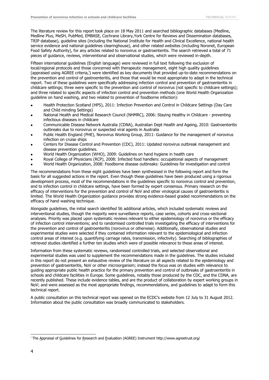The literature review for this report took place on 18 May 2011 and searched bibliographic databases (Medline, Medline Plus, MeSH, PubMed, EMBASE, Cochrane Library,York Centre for Reviews and Dissemination databases, TRIP database), guideline sites (including the National Institute for Health and Clinical Excellence, national health service evidence and national guidelines clearinghouse), and other related websites (including Noronet, European Food Safety Authority), for any articles related to norovirus or gastroenteritis. The search retrieved a total of 71 pieces of guidance, reviews, interventional and observational studies, which were reviewed in-depth.

Fifteen international guidelines (English language) were reviewed in full text following the exclusion of local/regional protocols and those concerned with therapeutic management, eight high quality guidelines (appraised using AGREE criteria,<sup>i</sup>) were identified as key documents that provided up-to-date recommendations on the prevention and control of gastroenteritis, and those that would be most appropriate to adapt in the technical report. Two of these guidelines were specifically addressing infection control and prevention of gastroenteritis in childcare settings; three were specific to the prevention and control of norovirus (not specific to childcare settings); and three related to specific aspects of infection control and prevention methods (one World Health Organization guideline on hand washing, and two related to prevention of foodborne infection):

- Health Protection Scotland (HPS), 2011: Infection Prevention and Control in Childcare Settings (Day Care and Child minding Settings)
- National Health and Medical Research Council (NHMRC), 2006: Staying Healthy in Childcare preventing infectious diseases in childcare
- Communicable Disease Network Australia (CDNA), Australian Dept Health and Ageing, 2010: Gastroenteritis outbreaks due to norovirus or suspected viral agents in Australia
- Public Health England (PHE), Norovirus Working Group, 2011: Guidance for the management of norovirus infection on cruise ships
- Centers for Disease Control and Prevention (CDC), 2011: Updated norovirus outbreak management and disease prevention guidelines.
- World Health Organization (WHO), 2009: Guidelines on hand hygiene in health care
- Royal College of Physicians (RCP), 2008: Infected food handlers: occupational aspects of management
- World Health Organization, 2008: Foodborne disease outbreaks: Guidelines for investigation and control

The recommendations from these eight guidelines have been synthesised in the following report and form the basis for all suggested actions in the report. Even though these guidelines have been produced using a rigorous development process, most of the recommendations in the guidelines specific to norovirus control and prevention, and to infection control in childcare settings, have been formed by expert consensus. Primary research on the efficacy of interventions for the prevention and control of NoV and other virological causes of gastroenteritis is limited. The World Health Organization guidance provides strong evidence-based graded recommendations on the efficacy of hand washing technique.

Alongside guidelines, the initial search identified 56 additional articles, which included systematic reviews and interventional studies, though the majority were surveillance reports, case series, cohorts and cross-sectional analyses. Priority was placed upon systematic reviews relevant to either epidemiology of norovirus or the efficacy of infection control interventions; and to randomised controlled trials investigating the efficacy of interventions for the prevention and control of gastroenteritis (norovirus or otherwise). Additionally, observational studies and experimental studies were selected if they contained information relevant to the epidemiological and infection control areas of interest (e.g. quantifying carriage rates, transmission, infectivity). Searching of bibliographies of retrieved studies identified a further ten studies which were of possible relevance to these areas of interest.

Information from these systematic reviews, randomised controlled trials, and selected observational and experimental studies was used to supplement the recommendations made in the guidelines. The studies included in this report do not present an exhaustive review of the literature on all aspects related to the epidemiology and prevention of gastroenteritis, NoV or other microorganism; instead the focus was on studies with relevance to guiding appropriate public health practice for the primary prevention and control of outbreaks of gastroenteritis in schools and childcare facilities in Europe. Some guidelines, notably those produced by the CDC, and the CDNA, are recently published. These include evidence tables, and are the product of collaboration by expert working groups in NoV; and were assessed as the most appropriate findings, recommendations, and guidelines to adapt to form this technical report.

A public consultation on this technical report was opened on the ECDC's website from 12 July to 31 August 2012. Information about the public consultation was broadly communicated to stakeholders.

i,

<sup>i</sup> The Appraisal of Guidelines for Research and Evaluation (AGREE) Instrument http://www.agreetrust.org/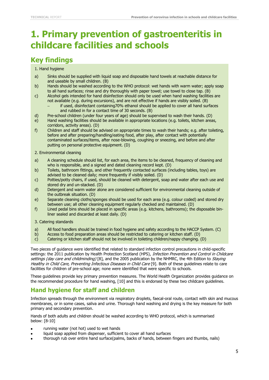## <span id="page-9-0"></span>**1. Primary prevention of gastroenteritis in childcare facilities and schools**

### <span id="page-9-1"></span>**Key findings**

#### 1. Hand hygiene

- a) Sinks should be supplied with liquid soap and disposable hand towels at reachable distance for and useable by small children. (B)
- b) Hands should be washed according to the WHO protocol: wet hands with warm water; apply soap to all hand surfaces; rinse and dry thoroughly with paper towel; use towel to close tap. (B)
- c) Alcohol gels intended for hand disinfection should only be used when hand washing facilities are not available (e.g. during excursions), and are not effective if hands are visibly soiled. (B)
	- if used, disinfectant containing70% ethanol should be applied to cover all hand surfaces and rubbed in for a contact time of 30 seconds. (B)
- d) Pre-school children (under four years of age) should be supervised to wash their hands. (D)
- e) Hand washing facilities should be available in appropriate locations (e.g. toilets, kitchen areas, corridors, activity areas). (D)
- f) Children and staff should be advised on appropriate times to wash their hands; e.g. after toileting, before and after preparing/handling/eating food, after play, after contact with potentially contaminated surfaces/items, after nose-blowing, coughing or sneezing, and before and after putting on personal protective equipment. (D)
- 2. Environmental cleaning
- a) A cleaning schedule should list, for each area, the items to be cleaned, frequency of cleaning and who is responsible, and a signed and dated cleaning record kept. (D)
- b) Toilets, bathroom fittings, and other frequently contacted surfaces (including tables, toys) are advised to be cleaned daily; more frequently if visibly soiled. (D)
- c) Potties/potty chairs, if used, should be cleaned with detergent, soap and water after each use and stored dry and un-stacked. (D)
- d) Detergent and warm water alone are considered sufficient for environmental cleaning outside of the outbreak situation. (D)
- e) Separate cleaning cloths/sponges should be used for each area (e.g. colour coded) and stored dry between use; all other cleaning equipment regularly checked and maintained. (D)
- f) Lined pedal bins should be placed in specific areas (e.g. kitchens, bathrooms); the disposable binliner sealed and discarded at least daily. (D)

3. Catering standards

- a) All food handlers should be trained in food hygiene and safety according to the HACCP System. (C)
- b) Access to food preparation areas should be restricted to catering or kitchen staff. (D)
- c) Catering or kitchen staff should not be involved in toileting children/nappy changing. (D)

Two pieces of guidance were identified that related to standard infection control precautions in child-specific settings: the 2011 publication by Health Protection Scotland (HPS), Infection Prevention and Control in Childcare settings (day care and childminding) [8], and the 2005 publication by the NHMRC, the 4th Edition to Staying Healthy in Child Care, Preventing Infectious Diseases in Child Care [9]. Both of these guidelines relate to care facilities for children of pre-school age; none were identified that were specific to schools.

These guidelines provide key primary prevention measures. The World Health Organization provides guidance on the recommended procedure for hand washing, [10] and this is endorsed by these two childcare guidelines.

#### **Hand hygiene for staff and children**

Infection spreads through the environment via respiratory droplets, faecal-oral route, contact with skin and mucous membranes, or in some cases, saliva and urine. Thorough hand washing and drying is the key measure for both primary and secondary prevention.

Hands of both adults and children should be washed according to WHO protocol, which is summarised below: [8-10]

- running water (not hot) used to wet hands
- liquid soap applied from dispenser, sufficient to cover all hand surfaces
- thorough rub over entire hand surface(palms, backs of hands, between fingers and thumbs, nails)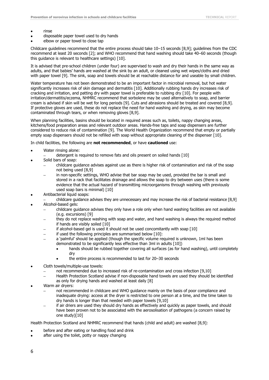- rinse
- disposable paper towel used to dry hands
- elbow or paper towel to close tap

Childcare guidelines recommend that the entire process should take 10–15 seconds [8,9]; guidelines from the CDC recommend at least 20 seconds [2]; and WHO recommend that hand washing should take 40–60 seconds (though this guidance is relevant to healthcare settings) [10].

It is advised that pre-school children (under four) are supervised to wash and dry their hands in the same way as adults, and that babies' hands are washed at the sink by an adult, or cleaned using wet wipes/cloths and dried with paper towel [9]. The sink, soap and towels should be at reachable distance for and useable by small children.

Water temperature has not been demonstrated to be an important factor in microbial removal, but hot water significantly increases risk of skin damage and dermatitis [10]. Additionally rubbing hands dry increases risk of cracking and irritation, and patting dry with paper towel is preferable to rubbing dry [10]. For people with irritation/dermatitis/eczema, NHMRC recommend that sorbolene may be used alternatively to soap, and barrier cream is advised if skin will be wet for long periods [9]. Cuts and abrasions should be treated and covered [8,9]. If protective gloves are used, these do not replace the need for hand washing and drying, as skin may become contaminated through tears, or when removing gloves [8,9].

When planning facilities, basins should be located in required areas such as, toilets, nappy changing areas, kitchens/food preparation areas and relevant outdoor areas. Hands-free taps and soap dispensers are further considered to reduce risk of contamination [9]. The World Health Organization recommend that empty or partially empty soap dispensers should not be refilled with soap without appropriate cleaning of the dispenser [10].

In child facilities, the following are **not recommended**, or have **cautioned** use:

- Water rinsing alone:
	- detergent is required to remove fats and oils present on soiled hands [10]
- Solid bars of soap:
	- childcare guidance advises against use as there is higher risk of contamination and risk of the soap not being used [8,9]
	- in non-specific settings, WHO advise that bar soap may be used, provided the bar is small and stored in a rack that facilitates drainage and allows the soap to dry between uses (there is some evidence that the actual hazard of transmitting microorganisms through washing with previously used soap bars is minimal) [10]
- Antibacterial liquid soaps:
- childcare guidance advises they are unnecessary and may increase the risk of bacterial resistance [8,9] Alcohol-based gels:
- - childcare guidance advises they only have a role only when hand washing facilities are not available (e.g. excursions) [9]
	- they do not replace washing with soap and water, and hand washing is always the required method if hands are visibly soiled [10]
	- if alcohol-based gel is used it should not be used concomitantly with soap [10]
	- if used the following principles are summarised below [10]:
	- a 'palmful' should be applied (though the specific volume required is unknown, 1ml has been demonstrated to be significantly less effective than 3ml in adults [10])
		- hands should be rubbed together covering all surfaces (as for hand washing), until completely dry
			- the entire process is recommended to last for 20–30 seconds
- Cloth towels/multiple-use towels:
	- not recommended due to increased risk of re-contamination and cross infection [9,10]
	- Health Protection Scotland advise if non-disposable hand towels are used they should be identified as only for drying hands and washed at least daily [8]
- Warm air dryers:
	- not recommended in childcare and WHO guidance mainly on the basis of poor compliance and inadequate drying: access at the dryer is restricted to one person at a time, and the time taken to dry hands is longer than that needed with paper towels [9,10]
	- if air driers are used they should dry hands as effectively and quickly as paper towels, and should have been proven not to be associated with the aerosolisation of pathogens (a concern raised by one study)[10]

Health Protection Scotland and NHMRC recommend that hands (child and adult) are washed [8,9]:

- before and after eating or handling food and drink
- after using the toilet, potty or nappy changing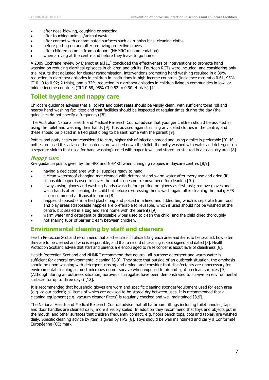- after nose-blowing, coughing or sneezing
- after touching animals/animal waste
- after contact with contaminated surfaces such as rubbish bins, cleaning cloths
- before putting on and after removing protective gloves
- after children come in from outdoors (NHMRC recommendation)
- when arriving at the centre and before they leave to go home

A 2009 Cochrane review by Ejemot et al.[11] concluded the effectiveness of interventions to promote hand washing on reducing diarrheal episodes in children and adults. Fourteen RCTs were included, and considering only trial results that adjusted for cluster randomisation, interventions promoting hand washing resulted in a 39% reduction in diarrhoea episodes in children in institutions in high-income countries (incidence rate ratio 0.61, 95% CI 0.40 to 0.92; 2 trials), and a 32% reduction in diarrhoea episodes in children living in communities in low- or middle-income countries (IRR 0.68, 95% CI 0.52 to 0.90; 4 trials) [11].

#### **Toilet hygiene and nappy care**

Childcare guidance advises that all toilets and toilet seats should be visibly clean, with sufficient toilet roll and nearby hand washing facilities; and that facilities should be inspected at regular times during the day (the guidelines do not specify a frequency) [8].

The Australian National Health and Medical Research Council advise that younger children should be assisted in using the toilet and washing their hands [9]. It is advised against rinsing any soiled clothes in the centre, and these should be placed in a tied plastic bag to be sent home with the parent [9].

Potties and potty chairs are considered to carry higher risk of infection spread and using a toilet is preferable [9]. If potties are used it is advised the contents are washed down the toilet, the potty washed with water and detergent (in a separate sink to that used for hand washing), dried with paper towel and stored un-stacked in a clean, dry area [8].

#### **Nappy care**

Key guidance points given by the HPS and NHMRC when changing nappies in daycare centres [8,9]:

- having a dedicated area with all supplies ready to hand
- a clean waterproof changing mat cleaned with detergent and warm water after every use and dried (if disposable paper is used to cover the mat it does not remove need for cleaning [9])
- always using gloves and washing hands (wash before putting on gloves as first task; remove gloves and wash hands after cleaning the child but before re-dressing them; wash again after cleaning the mat); HPS also recommend a disposable apron [8]
- nappies disposed of in a tied plastic bag and placed in a lined and lidded bin, which is separate from food and play areas (disposable nappies are preferable to reusable, which if used should not be washed at the centre, but sealed in a bag and sent home with the parent) [9]
- warm water and detergent or disposable wipes used to clean the child, and the child dried thoroughly
- not sharing tubs of barrier cream between children.

#### **Environmental cleaning by staff and cleaners**

Health Protection Scotland recommend that a schedule is in place listing each area and items to be cleaned, how often they are to be cleaned and who is responsible, and that a record of cleaning is kept signed and dated [8]. Health Protection Scotland advise that staff and parents are encouraged to raise concerns about level of cleanliness [8].

Health Protection Scotland and NHMRC recommend that neutral, all-purpose detergent and warm water is sufficient for general environmental cleaning [8,9]. They state that outside of an outbreak situation, the emphasis should be upon washing with detergent, rinsing and drying, and consider that disinfectants are unnecessary for environmental cleaning as most microbes do not survive when exposed to air and light on clean surfaces [9]. (Although during an outbreak situation, norovirus surrogates have been demonstrated to survive on environmental surfaces for up to three days) [12].

It is recommended that household gloves are worn and specific cleaning sponges/equipment used for each area (e.g. colour coded); all items of which are advised to be stored dry between uses. It is recommended that all cleaning equipment (e.g. vacuum cleaner filters) is regularly checked and well maintained [8,9].

The National Health and Medical Research Council advise that all bathroom fittings including toilet handles, taps and door handles are cleaned daily, more if visibly soiled. In addition they recommend that toys and objects put in the mouth, and other surfaces that children frequently contact, e.g. floors bench tops, cots and tables, are washed daily. Specific cleaning advice by item is given by HPS [8]. Toys should be well maintained and carry a Conformité Européenne (CE) mark.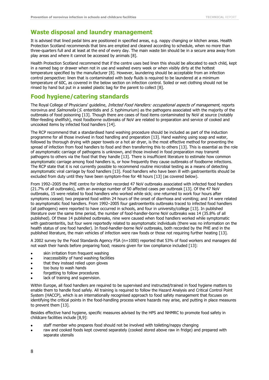#### **Waste disposal and laundry management**

It is advised that lined pedal bins are positioned in specified areas, e.g. nappy changing or kitchen areas. Health Protection Scotland recommends that bins are emptied and cleaned according to schedule, when no more than three-quarters full and at least at the end of every day. The main waste bin should be in a secure area away from play areas and where it cannot be accessed by animals [8].

Health Protection Scotland recommend that if the centre uses bed linen this should be allocated to each child, kept in a named bag or drawer when not in use and washed every week or when visibly dirty at the hottest temperature specified by the manufacturer [8]. However, laundering should be acceptable from an infection control perspective: linen that is contaminated with body fluids is required to be laundered at a minimum temperature of 60C, as covered in the below section on infection control. Soiled or wet clothing should not be rinsed by hand but put in a sealed plastic bag for the parent to collect [8].

#### **Food hygiene/catering standards**

The Royal College of Physicians' guideline, *Infected Food Handlers: occupational aspects of management*, reports norovirus and *Salmonella* (S. enteritidis and S. typhimurium) as the pathogens associated with the majority of the outbreaks of food poisoning [13]. Though there are cases of food items contaminated by NoV at source (notably filter-feeding shellfish), most foodborne outbreaks of NoV are related to preparation and service of cooked and uncooked items by infected food handlers [14].

The RCP recommend that a standardised hand washing procedure should be included as part of the induction programme for all those involved in food handling and preparation [13]. Hand washing using soap and water, followed by thorough drying with paper towels or a hot air dryer, is the most effective method for preventing the spread of infection from food handlers to food and then transferring this to others [13]. This is essential as the role of asymptomatic carriage of pathogens is unknown, and those involved in food preparation may transmit pathogens to others via the food that they handle [13]. There is insufficient literature to estimate how common asymptomatic carriage among food handlers is, or how frequently they cause outbreaks of foodborne infections. The RCP state that it is not currently possible to recommend routine microbial testing as a means of detecting asymptomatic viral carriage by food handlers [13]. Food handlers who have been ill with gastroenteritis should be excluded from duty until they have been symptom-free for 48 hours [13] (as covered below).

From 1992–2005 the PHE centre for infection recorded 47 NoV outbreaks associated with infected food handlers (21.7% of all outbreaks), with an average number of 50 affected cases per outbreak [13]. Of the 47 NoV outbreaks, 15 were related to food handlers who worked while sick; one returned to work four hours after symptoms ceased; two prepared food within 24 hours of the onset of diarrhoea and vomiting; and 14 were related to asymptomatic food handlers. From 1992–2005 four gastroenteritis outbreaks traced to infected food handlers (all pathogens) were reported to have occurred in schools, and four in university/college [13]. In published literature over the same time period, the number of food-handler-borne NoV outbreaks was 14 (35.8% of all published). Of these 14 published outbreaks, nine were caused when food handlers worked while symptomatic with gastroenteritis, but four were reportedly related to asymptomatic individuals (there was no information on the health status of one food handler). In food-handler-borne NoV outbreaks, both recorded by the PHE and in the published literature, the main vehicles of infection were raw foods or those not requiring further heating [13].

A 2002 survey by the Food Standards Agency FSA (n=1000) reported that 53% of food workers and managers did not wash their hands before preparing food; reasons given for low compliance included [13]:

- skin irritation from frequent washing
- inaccessibility of hand washing facilities
- that they instead relied upon gloves
- too busy to wash hands
- forgetting to follow procedures
- lack of training and supervision.

Within Europe, all food handlers are required to be supervised and instructed/trained in food hygiene matters to enable them to handle food safely. All training is required to follow the Hazard Analysis and Critical Control Point System (HACCP), which is an internationally recognised approach to food safety management that focuses on identifying the critical points in the food-handling process where hazards may arise, and putting in place measures to prevent them [13].

Besides effective hand hygiene, specific measures advised by the HPS and NHMRC to promote food safety in childcare facilities include [8,9]:

- staff member who prepares food should not be involved with toileting/nappy changing
- raw and cooked foods kept covered separately (cooked stored above raw in fridge) and prepared with separate utensils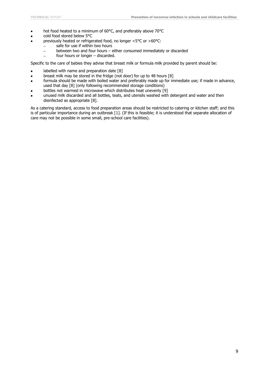- hot food heated to a minimum of 60°C, and preferably above 70°C
- cold food stored below 5°C
- previously heated or refrigerated food, no longer <5°C or >60°C:
	- safe for use if within two hours  $\overline{\phantom{a}}$
	- $\overline{\phantom{a}}$ between two and four hours – either consumed immediately or discarded
	- four hours or longer discarded.

Specific to the care of babies they advise that breast milk or formula milk provided by parent should be:

- labelled with name and preparation date [8]
- breast milk may be stored in the fridge (not door) for up to 48 hours [8]
- formula should be made with boiled water and preferably made up for immediate use; if made in advance, used that day [8] (only following recommended storage conditions)
- bottles not warmed in microwave which distributes heat unevenly [9]
- unused milk discarded and all bottles, teats, and utensils washed with detergent and water and then disinfected as appropriate [8].

As a catering standard, access to food preparation areas should be restricted to catering or kitchen staff; and this is of particular importance during an outbreak [1]. (If this is feasible; it is understood that separate allocation of care may not be possible in some small, pre-school care facilities).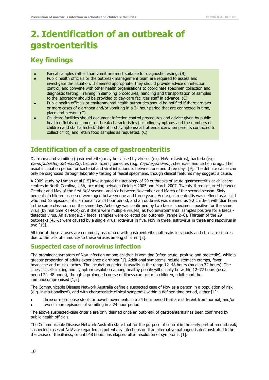## <span id="page-14-0"></span>**2. Identification of an outbreak of gastroenteritis**

### <span id="page-14-1"></span>**Key findings**

- Faecal samples rather than vomit are most suitable for diagnostic testing. (B) ×
- Public health officials or the outbreak management team are required to assess and investigate the situation. If deemed appropriate, they should provide advice on infection control, and convene with other health organisations to coordinate specimen collection and diagnostic testing. Training in sampling procedures, handling and transportation of samples to the laboratory should be provided to day-care facilities staff in advance. (C)
- Public health officials or environmental health authorities should be notified if there are two or more cases of diarrhoea and/or vomiting in a 24 hour period that are connected in time, place and person. (C)
- Childcare facilities should document infection control procedures and advice given by public health officials, document outbreak characteristics (including symptoms and the numbers of children and staff affected: date of first symptoms/last attendance/when parents contacted to collect child), and retain food samples as requested. (C)

### <span id="page-14-2"></span>**Identification of a case of gastroenteritis**

Diarrhoea and vomiting (gastroenteritis) may be caused by viruses (e.g. NoV, rotavirus), bacteria (e.g. Campylobacter, Salmonella), bacterial toxins, parasites (e.g. Cryptosporidium), chemicals and certain drugs. The usual incubation period for bacterial and viral infections is between one and three days [9]. The definite cause can only be diagnosed through laboratory testing of faecal specimens, though clinical features may suggest a cause.

A 2009 study by Lyman et al.[15] investigated the aetiology of 29 outbreaks of acute gastroenteritis at childcare centres in North Carolina, USA, occurring between October 2005 and March 2007. Twenty-three occurred between October and May of the first NoV season, and six between November and March of the second season. Sixty percent of children assessed were aged between one and three years. Acute gastroenteritis was defined as a child who had ≥2 episodes of diarrhoea in a 24 hour period, and an outbreak was defined as ≥2 children with diarrhoea in the same classroom on the same day. Aetiology was confirmed by two faecal specimens positive for the same virus (by real time RT-PCR) or, if there were multiple viruses, as two environmental samples positive for a faecaldetected virus. An average 2.7 faecal samples were collected per outbreak (range 2–6). Thirteen of the 29 outbreaks (45%) were caused by a single virus: rotavirus in five, NoV in three, astrovirus in three and sapovirus in two [15].

All four of these viruses are commonly associated with gastroenteritis outbreaks in schools and childcare centres due to the lack of immunity to these viruses among children [2].

#### **Suspected case of norovirus infection**

The prominent symptom of NoV infection among children is vomiting (often acute, profuse and projectile), while a greater proportion of adults experience diarrhoea [1]. Additional symptoms include stomach cramps, fever, headache and muscle aches. The incubation period is usually in the range 12–48 hours (median 32 hours). The illness is self-limiting and symptom resolution among healthy people will usually be within 12–72 hours (usual period 24–48 hours), though a prolonged course of illness can occur in children, adults and the immunocompromised [1,2].

The Communicable Disease Network Australia define a suspected case of NoV as a person in a population of risk (e.g. institutionalised), and with characteristic clinical symptoms within a defined time period, either [1]:

three or more loose stools or bowel movements in a 24 hour period that are different from normal; and/or two or more episodes of vomiting in a 24 hour period

The above suspected-case criteria are only defined once an outbreak of gastroenteritis has been confirmed by public health officials.

The Communicable Disease Network Australia state that for the purpose of control in the early part of an outbreak, suspected cases of NoV are regarded as potentially infectious until an alternative pathogen is demonstrated to be the cause of the illness; or until 48 hours has elapsed after resolution of symptoms [1].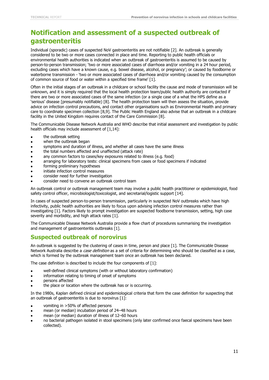### <span id="page-15-0"></span>**Notification and assessment of a suspected outbreak of gastroenteritis**

Individual (sporadic) cases of suspected NoV gastroenteritis are not notifiable [2]. An outbreak is generally considered to be two or more cases connected in place and time. Reporting to public health officials or environmental health authorities is indicated when an outbreak of gastroenteritis is assumed to be caused by person-to-person transmission; 'two or more associated cases of diarrhoea and/or vomiting in a 24 hour period, excluding cases which have a known cause, e.g. bowel disease, alcohol, or pregnancy'; or caused by foodborne or waterborne transmission - 'two or more associated cases of diarrhoea and/or vomiting caused by the consumption of common source of food or water within a specified time frame' [1].

Often in the initial stages of an outbreak in a childcare or school facility the cause and mode of transmission will be unknown, and it is simply required that the local health protection team/public health authority are contacted if there are two or more associated cases of the same infection (or a single case of a what the HPS define as a 'serious' disease [presumably notifiable) [8]. The health protection team will then assess the situation, provide advice on infection control precautions, and contact other organisations such as Environmental Health and primary care to coordinate specimen collection [8,9]. The Public Health England also advise that an outbreak in a childcare facility in the United Kingdom requires contact of the Care Commission [8].

The Communicable Disease Network Australia and WHO describe that initial assessment and investigation by public health officials may include assessment of [1,14]:

- the outbreak setting
- when the outbreak began
- symptoms and duration of illness, and whether all cases have the same illness
- the total numbers affected and unaffected (attack rate)
- any common factors to cases/key exposures related to illness (e.g. food)
- arranging for laboratory tests: clinical specimens from cases or food specimens if indicated
- forming preliminary hypotheses
- initiate infection control measures
- consider need for further investigation
- consider need to convene an outbreak control team

An outbreak control or outbreak management team may involve a public health practitioner or epidemiologist, food safety control officer, microbiologist/toxicologist, and secretarial/logistic support [14].

In cases of suspected person-to-person transmission, particularly in suspected NoV outbreaks which have high infectivity, public health authorities are likely to focus upon advising infection control measures rather than investigating [1]. Factors likely to prompt investigation are suspected foodborne transmission, setting, high case severity and morbidity, and high attack rates [1].

The Communicable Disease Network Australia provide a flow chart of procedures summarising the investigation and management of gastroenteritis outbreaks [1].

#### **Suspected outbreak of norovirus**

An outbreak is suggested by the clustering of cases in time, person and place [1]. The Communicable Disease Network Australia describe a *case definition* as a set of criteria for determining who should be classified as a case, which is formed by the outbreak management team once an outbreak has been declared.

The case definition is described to include the four components of [1]:

- well-defined clinical symptoms (with or without laboratory confirmation)
- information relating to timing of onset of symptoms
- persons affected
- the place or location where the outbreak has or is occurring.

In the 1980s, Kaplan defined clinical and epidemiological criteria that form the case definition for suspecting that an outbreak of gastroenteritis is due to norovirus [1]:

- vomiting in >50% of affected persons
- mean (or median) incubation period of 24–48 hours
- mean (or median) duration of illness of 12–60 hours
- no bacterial pathogen isolated in stool specimens (only later confirmed once faecal specimens have been collected).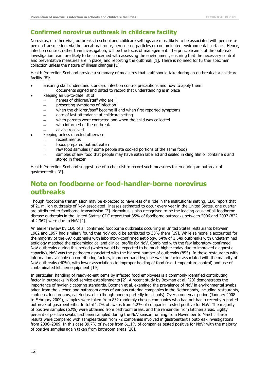#### **Confirmed norovirus outbreak in childcare facility**

Norovirus, or other viral, outbreaks in school and childcare settings are most likely to be associated with person-toperson transmission, via the faecal-oral route, aerosolised particles or contaminated environmental surfaces. Hence, infection control, rather than investigation, will be the focus of management. The principle aims of the outbreak investigation team are likely to be concerned with assessing the environment, ensuring that the necessary control and preventative measures are in place, and reporting the outbreak [1]. There is no need for further specimen collection unless the nature of illness changes [1].

Health Protection Scotland provide a summary of measures that staff should take during an outbreak at a childcare facility [8]:

- ensuring staff understand standard infection control precautions and how to apply them
	- documents signed and dated to record that understanding is in place
- keeping an up-to-date list of:
	- names of children/staff who are ill
	- presenting symptoms of infection
	- when the children/staff became ill and when first reported symptoms
	- date of last attendance at childcare setting
	- when parents were contacted and when the child was collected
	- who informed of the outbreak
	- advice received
- keeping unless directed otherwise:
	- recent menus  $\sim$
	- foods prepared but not eaten
	- raw food samples (if some people ate cooked portions of the same food)
	- samples of any food that people may have eaten labelled and sealed in cling film or containers and stored in freezer

Health Protection Scotland suggest use of a checklist to record such measures taken during an outbreak of gastroenteritis [8].

### <span id="page-16-0"></span>**Note on foodborne or food-handler-borne norovirus outbreaks**

Though foodborne transmission may be expected to have less of a role in the institutional setting, CDC report that of 21 million outbreaks of NoV-associated illnesses estimated to occur every year in the United States, one quarter are attributed to foodborne transmission [2]. Norovirus is also recognised to be the leading cause of all foodborne disease outbreaks in the United States: CDC report that 35% of foodborne outbreaks between 2006 and 2007 (822 of 2 367) were due to NoV [2].

An earlier review by CDC of all confirmed foodborne outbreaks occurring in United States restaurants between 1982 and 1997 had similarly found that NoV could be attributed to 38% them [19]. While salmonella accounted for the majority of the 697 outbreaks with laboratory-confirmed aetiology, 54% of 1 549 outbreaks with undetermined aetiology matched the epidemiological and clinical profile for NoV. Combined with the few laboratory-confirmed NoV outbreaks during this period (which would be expected to be much higher today due to improved diagnostic capacity), NoV was the pathogen associated with the highest number of outbreaks (855). In those restaurants with information available on contributing factors, improper hand hygiene was the factor associated with the majority of NoV outbreaks (40%), with lower associations to improper holding of food (e.g. temperature control) and use of contaminated kitchen equipment [19].

In particular, handling of ready-to-eat items by infected food employees is a commonly identified contributing factor in outbreaks in food-service establishments [2]. A recent study by Boxman et al. [20] demonstrates the importance of hygienic catering standards. Boxman et al. examined the prevalence of NoV in environmental swabs taken from the kitchen and bathroom areas of various catering companies in the Netherlands, including restaurants, canteens, lunchrooms, cafeterias, etc. (though none reportedly in schools). Over a one-year period (January 2008 to February 2009), samples were taken from 832 randomly chosen companies who had not had a recently reported outbreak of gastroenteritis. In total 1.7% of swabs from 4.2% of companies tested positive for NoV. The majority of positive samples (62%) were obtained from bathroom areas, and the remainder from kitchen areas. Eighty percent of positive swabs had been sampled during the NoV season running from November to March. These results were compared with samples taken from 72 companies involved in gastroenteritis outbreak investigations from 2006–2009. In this case 39.7% of swabs from 61.1% of companies tested positive for NoV; with the majority of positive samples again taken from bathroom areas [20].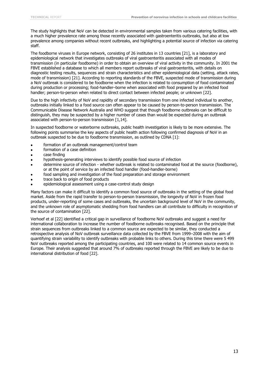The study highlights that NoV can be detected in environmental samples taken from various catering facilities, with a much higher prevalence rate among those recently associated with gastroenteritis outbreaks, but also at low prevalence among companies without recent outbreaks, and highlighting a potential source of infection via catering staff.

The foodborne viruses in Europe network, consisting of 26 institutes in 13 countries [21], is a laboratory and epidemiological network that investigates outbreaks of viral gastroenteritis associated with all modes of transmission (in particular foodborne) in order to obtain an overview of viral activity in the community. In 2001 the FBVE established a database to which all members report outbreaks of viral gastroenteritis, with details on diagnostic testing results, sequences and strain characteristics and other epidemiological data (setting, attack rates, mode of transmission) [21]. According to reporting standards of the FBVE, suspected mode of transmission during a NoV outbreak is considered to be foodborne when the infection is related to consumption of food contaminated during production or processing; food-handler–borne when associated with food prepared by an infected food handler; person-to-person when related to direct contact between infected people; or unknown [22].

Due to the high infectivity of NoV and rapidity of secondary transmission from one infected individual to another, outbreaks initially linked to a food source can often appear to be caused by person-to-person transmission. The Communicable Disease Network Australia and WHO suggest that though foodborne outbreaks can be difficult to distinguish, they may be suspected by a higher number of cases than would be expected during an outbreak associated with person-to-person transmission [1,14].

In suspected foodborne or waterborne outbreaks, public health investigation is likely to be more extensive. The following points summarise the key aspects of public health action following confirmed diagnosis of NoV in an outbreak suspected to be due to foodborne transmission, as outlined by CDNA [1]:

- formation of an outbreak management/control team
- formation of a case definition
- case finding
- hypothesis-generating interviews to identify possible food source of infection
- determine source of infection whether outbreak is related to contaminated food at the source (foodborne), or at the point of service by an infected food handler (food-handler-borne)
- food sampling and investigation of the food preparation and storage environment
- trace back to origin of food products
- epidemiological assessment using a case-control study design

Many factors can make it difficult to identify a common food source of outbreaks in the setting of the global food market. Aside from the rapid transfer to person-to-person transmission, the longevity of NoV in frozen food products, under-reporting of some cases and outbreaks, the uncertain background level of NoV in the community, and the unknown role of asymptomatic shedding from food handlers can all contribute to difficulty in recognition of the source of contamination [22].

Verhoef et al [22] identified a critical gap in surveillance of foodborne NoV outbreaks and suggest a need for international collaboration to increase the number of foodborne outbreaks recognised. Based on the principle that strain sequences from outbreaks linked to a common source are expected to be similar, they conducted a retrospective analysis of NoV outbreak surveillance data collected by the FBVE from 1999–2008 with the aim of quantifying strain variability to identify outbreaks with probable links to others. During this time there were 5 499 NoV outbreaks reported among the participating countries, and 100 were related to 14 common source events in Europe. Their analysis suggested that around 7% of outbreaks reported through the FBVE are likely to be due to international distribution of food [22].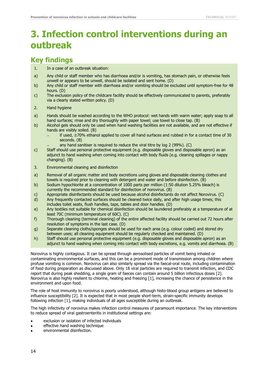## <span id="page-18-0"></span>**3. Infection control interventions during an outbreak**

### <span id="page-18-1"></span>**Key findings**

- 1. In a case of an outbreak situation:
- a) Any child or staff member who has diarrhoea and/or is vomiting, has stomach pain, or otherwise feels unwell or appears to be unwell, should be isolated and sent home. (D)
- b) Any child or staff member with diarrhoea and/or vomiting should be excluded until symptom-free for 48 hours. (D)
- c) The exclusion policy of the childcare facility should be effectively communicated to parents, preferably via a clearly stated written policy. (D)
- 2. Hand hygiene
- a) Hands should be washed according to the WHO protocol: wet hands with warm water; apply soap to all hand surfaces; rinse and dry thoroughly with paper towel; use towel to close tap. (B)
- b) Alcohol gels should only be used when hand washing facilities are not available, and are not effective if hands are visibly soiled. (B)
	- if used, ≥70% ethanol applied to cover all hand surfaces and rubbed in for a contact time of 30 seconds. (B)
	- any hand sanitiser is required to reduce the viral titre by log 2 (99%). (C)
- c) Staff should use personal protective equipment (e.g. disposable gloves and disposable apron) as an adjunct to hand washing when coming into contact with body fluids (e.g. cleaning spillages or nappy changing). (B)
- 3. Environmental cleaning and disinfection
- a) Removal of all organic matter and body excretions using gloves and disposable cleaning clothes and towels is required prior to cleaning with detergent and water and before disinfection. (B)
- b) Sodium hypochlorite at a concentration of 1000 parts per million (1:50 dilution 5.25% bleach) is currently the recommended standard for disinfection of norovirus. (B)
- c) Appropriate disinfectants should be used because alcohol disinfectants do not affect Norovirus. (C) d) Any frequently contacted surfaces should be cleaned twice daily, and after high usage times; this
- Any frequently contacted surfaces should be cleaned twice daily, and after high usage times; this includes toilet seats, flush handles, taps, tables and door handles. (D)
- e) Any textiles not suitable for chemical disinfection should be laundered preferably at a temperature of at least 70C (minimum temperature of 60C). (C)
- f) Thorough cleaning (terminal cleaning) of the entire affected facility should be carried out 72 hours after resolution of symptoms in the last case. (D)
- g) Separate cleaning cloths/sponges should be used for each area (e.g. colour coded) and stored dry between uses; all cleaning equipment should be regularly checked and maintained. (D)
- h) Staff should use personal protective equipment (e.g. disposable gloves and disposable apron) as an adjunct to hand washing when coming into contact with body excretions, e.g. vomits and diarrhoea. (B)

Norovirus is highly contagious. It can be spread through aerosolised particles of vomit being inhaled or contaminating environmental surfaces, and this can be a prominent mode of transmission among children where profuse vomiting is common. Norovirus can also similarly spread via the faecal-oral route, including contamination of food during preparation as discussed above. Only 18 viral particles are required to transmit infection, and CDC report that during peak shedding, a single gram of faeces can contain around 5 billion infectious doses [2]. Norovirus is also highly resilient to chlorine, heating and freezing [1], increasing the chance of persistence in the environment and upon food.

The role of host immunity to norovirus is poorly understood, although histo-blood group antigens are believed to influence susceptibility [2]. It is expected that in most people short-term, strain-specific immunity develops following infection [1], making individuals of all ages susceptible during an outbreak.

The high infectivity of norovirus makes infection control measures of paramount importance. The key interventions to reduce spread of viral gastroenteritis in institutional settings are:

- exclusion or isolation of infected individuals
- effective hand washing technique
- environmental disinfection.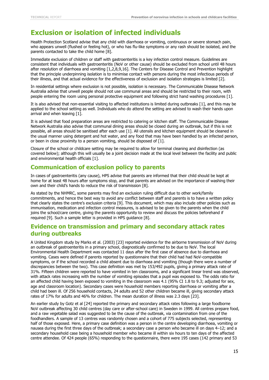### <span id="page-19-0"></span>**Exclusion or isolation of infected individuals**

Health Protection Scotland advise that any child with diarrhoea or vomiting, continuous or severe stomach pain, who appears unwell (flushed or feeling hot), or who has flu-like symptoms or any rash should be isolated, and the parents contacted to take the child home [8].

Immediate exclusion of children or staff with gastroenteritis is a key infection control measure. Guidelines are consistent that individuals with gastroenteritis (NoV or other cause) should be excluded from school until 48 hours after resolution of diarrhoea and vomiting [1,2,8,9,16]. The Centers for Disease Control and Prevention highlight that the principle underpinning isolation is to minimise contact with persons during the most infectious periods of their illness, and that actual evidence for the effectiveness of exclusion and isolation strategies is limited [2].

In residential settings where exclusion is not possible, isolation is necessary. The Communicable Disease Network Australia advise that unwell people should not use communal areas and should be restricted to their room, with people entering the room using personal protective equipment and following strict hand washing procedures [1].

It is also advised that non-essential visiting to affected institutions is limited during outbreaks [1], and this may be applied to the school setting as well. Individuals who do attend the setting are advised to wash their hands upon arrival and when leaving [1].

It is advised that food preparation areas are restricted to catering or kitchen staff. The Communicable Disease Network Australia also advise that communal dining areas should be closed during an outbreak, but if this is not possible, all areas should be sanitised after each use [1]. All utensils and kitchen equipment should be cleaned in the usual manner using detergent and hot water, and any food that may have been handled by an infected person, or been in close proximity to a person vomiting, should be disposed of [1].

Closure of the school or childcare setting may be required to allow for terminal cleaning and disinfection (as covered below); although this will usually be a joint decision made at the local level between the facility and public and environmental health officials [1].

#### **Communication of exclusion policy to parents**

In cases of gastroenteritis (any cause), HPS advise that parents are informed that their child should be kept at home for at least 48 hours after symptoms stop, and that parents are advised on the importance of washing their own and their child's hands to reduce the risk of transmission [8].

As stated by the NHMRC, some parents may find an exclusion ruling difficult due to other work/family commitments, and hence the best way to avoid any conflict between staff and parents is to have a written policy that clearly states the centre's exclusion criteria [9]. This document, which may also include other policies such as immunisation, medication and infection control measures, is advised to be given to the parents when the child joins the school/care centre, giving the parents opportunity to review and discuss the policies beforehand if required [9]. Such a sample letter is provided in HPS guidance [8].

#### **Evidence on transmission and primary and secondary attack rates during outbreaks**

A United Kingdom study by Marks et al. (2003) [23] reported evidence for the airborne transmission of NoV during an outbreak of gastroenteritis in a primary school, diagnostically confirmed to be due to NoV. The local Environmental Health Department was contacted 11 days after the first case of absence due to diarrhoea and vomiting. Cases were defined if parents reported by questionnaire that their child had had NoV-compatible symptoms, or if the school recorded a child absent due to diarrhoea and vomiting (though there were a number of discrepancies between the two). This case definition was met by 153/492 pupils, giving a primary attack rate of 31%. Fifteen children were reported to have vomited in ten classrooms, and a significant linear trend was observed, with attack rates increasing with the number of vomiting episodes that a pupil was exposed to. The odds ratio for an affected child having been exposed to vomiting in the classroom was 4.1 (95% CI 1.8 to 9.3; adjusted for sex, age and classroom location). Secondary cases were household members reporting diarrhoea or vomiting after a child had been ill. Of 256 household contacts, 24 adults and 52 other children became ill, giving secondary attack rates of 17% for adults and 46% for children. The mean duration of illness was 2.3 days [23].

An earlier study by Gotz et al [24] reported the primary and secondary attack rates following a large foodborne NoV outbreak affecting 30 child centres (day care or after-school care) in Sweden in 1999. All centres prepare food, and a raw vegetable salad was suggested to be the cause of the outbreak, via contamination from one of the foodhandlers. A sample of 13 centres was randomly chosen and a cohort of 775 subjects selected, representing half of those exposed. Here, a primary case definition was a person in the centre developing diarrhoea, vomiting or nausea during the first three days of the outbreak; a secondary case a person who became ill on days 4–12; and a secondary household case being a household member who became ill within six hours to ten days of the affected centre attendee. Of 424 people (65%) responding to the questionnaire, there were 195 cases (142 primary and 53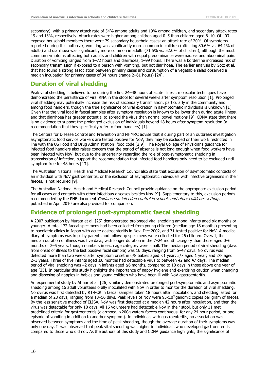secondary), with a primary attack rate of 54% among adults and 19% among children, and secondary attack rates 19 and 13%, respectively. Attack rates were higher among children aged 0–5 than children aged 6–10. Of 403 exposed household members there were 79 secondary household cases; an attack rate of 20%. Of symptoms reported during this outbreak, vomiting was significantly more common in children (affecting 80.6% vs. 64.1% of adults) and diarrhoea was significantly more common in adults (71.5% vs. 52.0% of children); although the most common symptoms affecting both adults and children with equal predominance were nausea and abdominal pain. Duration of vomiting ranged from 1–72 hours and diarrhoea, 1–99 hours. There was a borderline increased risk of secondary transmission if exposed to a person with vomiting, but not diarrhoea. The earlier analysis by Gotz et al. that had found a strong association between primary cases and consumption of a vegetable salad observed a median incubation for primary cases of 34 hours (range 2–61 hours) [24].

#### **Duration of viral shedding**

Peak viral shedding is believed to be during the first 24–48 hours of acute illness; molecular techniques have demonstrated the persistence of viral RNA in the stool for several weeks after symptom resolution [1]. Prolonged viral shedding may potentially increase the risk of secondary transmission, particularly in the community and among food handlers, though the true significance of viral excretion in asymptomatic individuals is unknown [1]. Given that the viral load in faecal samples after symptom resolution is known to be lower than during acute illness, and that diarrhoea has greater potential to spread the virus than normal bowel motions [9], CDNA state that there is no evidence to support the prolonged exclusion of individuals beyond 48 hours after symptom resolution (a recommendation that they specifically refer to food handlers) [1].

The Centers for Disease Control and Prevention and NHMRC advise that if during part of an outbreak investigation asymptomatic food service workers are tested positive for NoV, they may be excluded or their work restricted in line with the US Food and Drug Administration food code [2,9]. The Royal College of Physicians guidance for infected food handlers also raises concern that the period of absence is not long enough when food workers have been infected with NoV, but due to the uncertainty regarding the role of post-symptomatic shedding in transmission of infection, support the recommendation that infected food handlers only need to be excluded until symptom-free for 48 hours [13].

The Australian National Health and Medical Research Council also state that exclusion of asymptomatic contacts of an individual with NoV gastroenteritis, or the exclusion of asymptomatic individuals with infective organisms in their faeces, is not required [9].

The Australian National Health and Medical Research Council provide guidance on the appropriate exclusion period for all cases and contacts with other infectious diseases besides NoV [9]. Supplementary to this, exclusion periods recommended by the PHE document Guidance on infection control in schools and other childcare settings published in April 2010 are also provided for comparison.

#### **Evidence of prolonged post-symptomatic faecal shedding**

A 2007 publication by Murata et al. [25] demonstrated prolonged viral shedding among infants aged six months or younger. A total 172 faecal specimens had been collected from young children (median age 18 months) presenting to paediatric clinics in Japan with acute gastroenteritis in Nov–Dec 2002, and 71 tested positive for NoV. A medical diary of symptoms was kept by parents and follow-up specimens were collected for 26 children. Overall, the median duration of illness was five days, with longer duration in the 7–24 month category than those aged 0–6 months or 2–5 years, though numbers in each age category were small. The median period of viral shedding (days from onset of illness to the last positive fecal sample) was 16 days, ranging from 5–47 days. Norovirus was detected more than two weeks after symptom onset in 6/8 babies aged <1 year; 5/7 aged 1 year; and 2/8 aged 2–3 years. Three of five infants aged ≤6 months had detectable virus to between 42 and 47 days. The median period of viral shedding was 42 days in infants aged ≤6 months, compared to 10 days in those above one year of age [25]. In particular this study highlights the importance of nappy hygiene and exercising caution when changing and disposing of nappies in babies and young children who have been ill with NoV gastroenteritis.

An experimental study by Atmar et al. [26] similarly demonstrated prolonged post-symptomatic and asymptomatic shedding among 16 adult volunteers orally inoculated with NoV in order to monitor the duration of viral shedding. Norovirus was first detected by RT-PCR in faecal samples taken 18 hours after inoculation, and shedding lasted for a median of 28 days, ranging from 13–56 days. Peak levels of NoV were 95x10<sup>9</sup> genomic copies per gram of faeces. By the less sensitive method of ELISA, NoV was first detected at a median 42 hours after inoculation, and then the virus was detectable for only 10 days. All 16 volunteers had detectable NoV in their stool, but only 11 met predefined criteria for gastroenteritis (diarrhoea, >200g watery faeces continuous, for any 24 hour period, or one episode of vomiting in addition to another symptom). In individuals with gastroenteritis, no association was observed between symptoms and the time of peak shedding, though the average duration of their symptoms was only one day. It was observed that peak vital shedding was higher in individuals who developed gastroenteritis compared to those who did not. As the authors of this study and CDNA guidance highlights, the significance of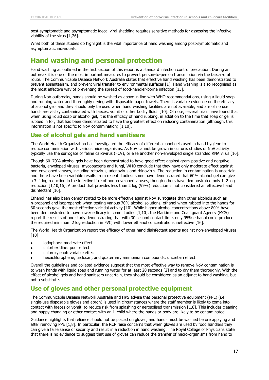post-symptomatic and asymptomatic faecal viral shedding requires sensitive methods for assessing the infective viability of the virus [1,26].

What both of these studies do highlight is the vital importance of hand washing among post-symptomatic and asymptomatic individuals.

### <span id="page-21-0"></span>**Hand washing and personal protection**

Hand washing as outlined in the first section of this report is a standard infection control precaution. During an outbreak it is one of the most important measures to prevent person-to-person transmission via the faecal-oral route. The Communicable Disease Network Australia states that effective hand washing has been demonstrated to prevent absenteeism, and prevent viral transfer to environmental surfaces [1]. Hand washing is also recognised as the most effective way of preventing the spread of food-handler-borne infection [13].

During NoV outbreaks, hands should be washed as above in line with WHO recommendations, using a liquid soap and running water and thoroughly drying with disposable paper towels. There is variable evidence on the efficacy of alcohol gels and they should only be used when hand washing facilities are not available, and are of no use if hands are visibly contaminated with faeces, vomit or other bodily fluids [10]. Of note, several trials have found that when using liquid soap or alcohol gel, it is the efficacy of hand rubbing, in addition to the time that soap or gel is rubbed in for, that has been demonstrated to have the greatest effect on reducing contamination (although, this information is not specific to NoV contamination) [1,10].

#### **Use of alcohol gels and hand sanitisers**

The World Health Organization has investigated the efficacy of different alcohol gels used in hand hygiene to reduce contamination with various microorganisms. As NoV cannot be grown in culture, studies of NoV activity typically use the surrogate of feline calicivirus (FCV), or else another non-enveloped single stranded RNA virus [16].

Though 60–70% alcohol gels have been demonstrated to have good effect against gram-positive and negative bacteria, enveloped viruses, mycobacteria and fungi, WHO conclude that they have only moderate effect against non-enveloped viruses, including rotavirus, adenovirus and rhinovirus. The reduction in contamination is uncertain and there have been variable results from recent studies: some have demonstrated that 60% alcohol gel can give a 3–4 log reduction in the infective titre of non-enveloped viruses, though others have demonstrated only 1–2 log reduction [1,10,16]. A product that provides less than 2 log (99%) reduction is not considered an effective hand disinfectant [16].

Ethanol has also been demonstrated to be more effective against NoV surrogates than other alcohols such as n-propanol and isopropanol: when testing various 70% alcohol solutions, ethanol when rubbed into the hands for 30 seconds gave the most effective viricidal activity [10]. While higher alcohol concentrations above 80% have been demonstrated to have lower efficacy in some studies [1,10], the Maritime and Coastguard Agency (MCA) report the results of one study demonstrating that with 30 second contact time, only 95% ethanol could produce the required minimum 2 log reduction in FVC, with lower ethanol concentrations ineffective [16].

The World Health Organization report the efficacy of other hand disinfectant agents against non-enveloped viruses [10]:

- iodophors: moderate effect
- chlorhexidine: poor effect
- chloroxylenol: variable effect
- hexachlorophene, triclosan, and quaternary ammonium compounds: uncertain effect

Overall the guidelines and collated evidence suggest that the most effective way to remove NoV contamination is to wash hands with liquid soap and running water for at least 20 seconds [2] and to dry them thoroughly. With the effect of alcohol gels and hand sanitisers uncertain, they should be considered as an adjunct to hand washing, but not a substitute.

#### **Use of gloves and other personal protective equipment**

The Communicable Disease Network Australia and HPS advise that personal protective equipment (PPE) (i.e. single-use disposable gloves and apron) is used in circumstances where the staff member is likely to come into contact with faeces or vomit, to reduce risk from splashing or aerosolised transmission [1,8]. This includes cleaning and nappy changing or other contact with an ill child where the hands or body are likely to be contaminated.

Guidance highlights that reliance should not be placed on gloves, and hands must be washed before applying and after removing PPE [1,8]. In particular, the RCP raise concerns that when gloves are used by food handlers they can give a false sense of security and result in a reduction in hand washing. The Royal College of Physicians state that there is no evidence to suggest that use of gloves can reduce the transfer of micro-organisms from hand to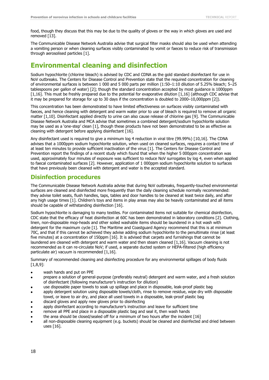food, though they discuss that this may be due to the quality of gloves or the way in which gloves are used and removed [13].

The Communicable Disease Network Australia advise that surgical filter masks should also be used when attending a vomiting person or when cleaning surfaces visibly contaminated by vomit or faeces to reduce risk of transmission through aerosolised particles [1].

### <span id="page-22-0"></span>**Environmental cleaning and disinfection**

Sodium hypochlorite (chlorine bleach) is advised by CDC and CDNA as the gold standard disinfectant for use in NoV outbreaks. The Centers for Disease Control and Prevention state that the required concentration for cleaning of environmental surfaces is between 1 000 and 5 000 parts per million (1:50–1:10 dilution of 5.25% bleach; 5–25 tablespoons per gallon of water) [2]; though the standard concentration accepted by most guidance is 1000ppm [1,16]. This must be freshly prepared due to the potential for evaporative dilution [1,16] (although CDC advise that it may be prepared for storage for up to 30 days if the concentration is doubled to 2000–10,000ppm [2]).

This concentration has been demonstrated to have limited effectiveness on surfaces visibly contaminated with faeces, and hence cleaning with detergent and warm water prior to use of bleach is required to remove all organic matter [1,10]. Disinfectant applied directly to urine can also cause release of chlorine gas [9]. The Communicable Disease Network Australia and MCA advise that sometimes a combined detergent/sodium hypochlorite solution may be used as a 'one-step' clean [1], though these products have not been demonstrated to be as effective as cleaning with detergent before applying disinfectant [16].

Any disinfectant used is required to give a minimum log 4 reduction in viral titre (99.99%) [10,16]. The CDNA advises that a 1000ppm sodium hypochlorite solution, when used on cleaned surfaces, requires a contact time of at least ten minutes to provide sufficient inactivation of the virus [1]. The Centers for Disease Control and Prevention report the findings of a recent study which found that when the higher 5 000ppm concentration was used, approximately four minutes of exposure was sufficient to reduce NoV surrogates by log 4, even when applied to faecal contaminated surfaces [2]. However, application of 1 000ppm sodium hypochlorite solution to surfaces that have previously been cleaned with detergent and water is the accepted standard.

#### **Disinfection procedures**

The Communicable Disease Network Australia advise that during NoV outbreaks, frequently-touched environmental surfaces are cleaned and disinfected more frequently than the daily cleaning schedule normally recommended: they advise toilet seats, flush handles, taps, tables and door handles to be cleaned at least twice daily, and after any high usage times [1]. Children's toys and items in play areas may also be heavily contaminated and all items should be capable of withstanding disinfection [16].

Sodium hypochlorite is damaging to many textiles. For contaminated items not suitable for chemical disinfection, CDC state that the efficacy of heat disinfection at 60C has been demonstrated in laboratory conditions [2]. Clothing, linen, non-disposable mop-heads and other soiled washable items should be laundered in a hot wash with detergent for the maximum cycle [1]. The Maritime and Coastguard Agency recommend that this is at minimum 70C, and that if this cannot be achieved they advise adding sodium hypochlorite to the penultimate rinse (at least five minutes) at a concentration of 150ppm [16]. It is advised that carpets and furnishings that cannot be laundered are cleaned with detergent and warm water and then steam cleaned [1,16]. Vacuum cleaning is not recommended as it can re-circulate NoV; if used, a separate ducted system or HEPA-filtered (high efficiency particulate air) vacuum is recommended [1,16].

Summary of recommended cleaning and disinfecting procedure for any environmental spillages of body fluids [1,8,9]:

- wash hands and put on PPE
- prepare a solution of general-purpose (preferably neutral) detergent and warm water, and a fresh solution of disinfectant (following manufacturer's instruction for dilution)
- use disposable paper towels to soak up spillage and place in disposable, leak-proof plastic bag
- apply detergent solution using disposable towels/cloth, rinse to remove residue, wipe dry with disposable towel, or leave to air dry, and place all used towels in a disposable, leak-proof plastic bag
- discard gloves and apply new gloves prior to disinfecting
- apply disinfectant according to manufacturer's instruction and leave for sufficient time
- remove all PPE and place in a disposable plastic bag and seal it, then wash hands
- the area should be closed/sealed off for a minimum of two hours after the incident [16]
- all non-disposable cleaning equipment (e.g. buckets) should be cleaned and disinfected and dried between uses [16].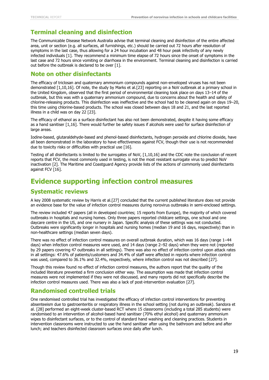#### **Terminal cleaning and disinfection**

The Communicable Disease Network Australia advise that terminal cleaning and disinfection of the entire affected area, unit or section (e.g. all surfaces, all furnishings, etc.) should be carried out 72 hours after resolution of symptoms in the last case, thus allowing for a 24 hour incubation and 48 hour peak infectivity of any newly infected individuals [1]. They recommend a minimum time elapse of 72 hours since the onset of symptoms in the last case and 72 hours since vomiting or diarrhoea in the environment. Terminal cleaning and disinfection is carried out before the outbreak is declared to be over [1].

#### **Note on other disinfectants**

The efficacy of triclosan and quaternary ammonium compounds against non-enveloped viruses has not been demonstrated [1,10,16]. Of note, the study by Marks et al.[23] reporting on a NoV outbreak at a primary school in the United Kingdom, observed that the first period of environmental cleaning took place on days 13–14 of the outbreak, but this was with a quaternary ammonium compound, due to concerns about the health and safety of chlorine-releasing products. This disinfection was ineffective and the school had to be cleaned again on days 19–20, this time using chlorine-based products. The school was closed between days 18 and 21, and the last reported illness in a child was on day 22 [23].

The efficacy of ethanol as a surface disinfectant has also not been demonstrated, despite it having some efficacy as a hand sanitiser [1,16]. There would further be safety issues if alcohols were used for surface disinfection of large areas.

Iodine-based, glutaraldehyde-based and phenol-based disinfectants, hydrogen peroxide and chlorine dioxide, have all been demonstrated in the laboratory to have effectiveness against FCV, though their use is not recommended due to toxicity risks or difficulties with practical use [16].

Testing of all disinfectants is limited to the surrogates of NoV, [1,10,16] and the CDC note the conclusion of recent reports that FCV, the most commonly used in testing, is not the most resistant surrogate virus to predict NoV inactivation [2]. The Maritime and Coastguard Agency provide lists of the actions of commonly used disinfectants against FCV [16].

### <span id="page-23-0"></span>**Evidence supporting infection control measures**

#### **Systematic reviews**

A key 2008 systematic review by Harris et al.[27] concluded that the current published literature does not provide an evidence base for the value of infection control measures during norovirus outbreaks in semi-enclosed settings.

The review included 47 papers (all in developed countries; 15 reports from Europe), the majority of which covered outbreaks in hospitals and nursing homes. Only three papers reported childcare settings, one school and one daycare centre in the US, and one nursery in Japan. Specific analysis of these settings was not conducted. Outbreaks were significantly longer in hospitals and nursing homes (median 19 and 16 days, respectively) than in non-healthcare settings (median seven days).

There was no effect of infection control measures on overall outbreak duration, which was 16 days (range 1–44 days) when infection control measures were used, and 14 days (range 2–92 days) when they were not (reported by 29 papers covering 47 outbreaks in all settings). There was also no effect of infection control upon attack rates in all settings: 47.6% of patients/customers and 34.4% of staff were affected in reports where infection control was used, compared to 36.1% and 32.4%, respectively, where infection control was not described [27].

Though this review found no effect of infection control measures, the authors report that the quality of the included literature prevented a firm conclusion either way. The assumption was made that infection control measures were not implemented if they were not discussed, and many reports did not specifically describe the infection control measures used. There was also a lack of post-intervention evaluation [27].

#### **Randomised controlled trials**

One randomised controlled trial has investigated the efficacy of infection control interventions for preventing absenteeism due to gastroenteritis or respiratory illness in the school setting (not during an outbreak). Sandora et al. [28] performed an eight-week cluster-based RCT where 15 classrooms (including a total 285 students) were randomised to an intervention of alcohol-based hand sanitiser (70% ethyl alcohol) and quaternary ammonium wipes to disinfectant surfaces, or to the control of standard hand washing and cleaning practices. Students in intervention classrooms were instructed to use the hand sanitiser after using the bathroom and before and after lunch; and teachers disinfected classroom surfaces once daily after lunch.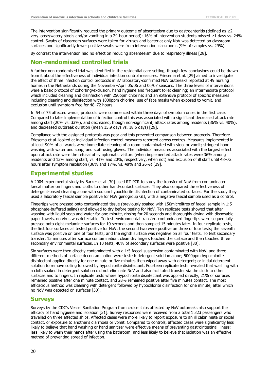The intervention significantly reduced the primary outcome of absenteeism due to gastroenteritis (defined as  $\geq 2$ very loose/watery stools and/or vomiting in a 24-hour period): 16% of intervention students missed ≥1 days vs. 24% control. Swabs of classroom surfaces were taken for viruses and bacteria; only NoV was detected on classroom surfaces and significantly fewer positive swabs were from intervention classrooms (9% of samples vs. 29%).

By contrast the intervention had no effect on reducing absenteeism due to respiratory illness [28].

#### **Non-randomised controlled trials**

A further non-randomised trial was identified in the residential care setting, though few conclusions could be drawn from it about the effectiveness of individual infection control measures. Friesema et al. [29] aimed to investigate the effect of three infection control protocols in 37 laboratory-confirmed NoV outbreaks reported at 49 nursing homes in the Netherlands during the November–April 05/06 and 06/07 seasons. The three levels of interventions were a basic protocol of cohorting/exclusion, hand hygiene and frequent toilet cleaning; an intermediate protocol which included cleaning and disinfection with 250ppm chlorine; and an extensive protocol of specific measures including cleaning and disinfection with 1000ppm chlorine, use of face masks when exposed to vomit, and exclusion until symptom-free for 48–72 hours.

In 54 of 75 affected wards, protocols were commenced within three days of symptom onset in the first case. Compared to later implementation of infection control this was associated with a significant decreased attack rate among staff (20% vs. 33%), and decreased, though non-significant, attack rates among residents (36% vs. 40%), and decreased outbreak duration (mean 15.9 days vs. 18.5 days) [29].

Compliance with the assigned protocols was poor and this prevented comparison between protocols. Therefore Friesema et al. looked at individual infection control measures reported across centres. Measures implemented in at least 90% of all wards were immediate cleaning of a room contaminated with stool or vomit; stringent hand washing with water and soap; and staff using gloves. The individual measures associated with the largest effect upon attack rate were the refusal of symptomatic visitors (when implemented attack rates were 36% among residents and 13% among staff, vs. 41% and 20%, respectively, when not) and exclusion of ill staff until 48–72 hours after symptom resolution (36% and 17%, vs. 48% and 26%) [29].

#### **Experimental studies**

A 2004 experimental study by Barker et al [30] used RT-PCR to study the transfer of NoV from contaminated faecal matter on fingers and cloths to other hand-contact surfaces. They also compared the effectiveness of detergent-based cleaning alone with sodium hypochlorite disinfection of contaminated surfaces. For the study they used a laboratory faecal sample positive for NoV genogroup GII, with a negative faecal sample used as a control.

Fingertips were pressed onto contaminated tissue (previously soaked with 150microlitres of faecal sample in 1:5 phosphate-buffered saline) and allowed to dry before testing for NoV. Ten replicate tests showed that after washing with liquid soap and water for one minute, rinsing for 20 seconds and thoroughly drying with disposable paper towels, no virus was detectable. To test environmental transfer, contaminated fingertips were sequentially pressed onto eight melamine surfaces for 10 seconds and then sampled 15 minutes later. In four replicate tests, the first four surfaces all tested positive for NoV; the second two were positive on three of four tests; the seventh surface was positive on one of four tests; and the eighth surface was negative on all four tests. To test secondary transfer, 15 minutes after surface contamination, clean dry fingers touched the surface and then touched three secondary environmental surfaces. In 10 tests, 40% of secondary surfaces were positive [30].

Six surfaces were then directly contaminated with a 1:5 faecal suspension contaminated with NoV, and three different methods of surface decontamination were tested: detergent solution alone; 5000ppm hypochlorite disinfectant applied directly for one minute or five minutes then wiped away with detergent; or initial detergent solution to remove soiling followed by hypochlorite disinfectant. Fourteen replicate tests revealed that washing with a cloth soaked in detergent solution did not eliminate NoV and also facilitated transfer via the cloth to other surfaces and to fingers. In replicate tests where hypochlorite disinfectant was applied directly, 21% of surfaces remained positive after one minute contact, and 28% remained positive after five minutes contact. The most efficacious method was cleaning with detergent followed by hypochlorite disinfection for one minute, after which no NoV was detected on surfaces [30].

#### **Surveys**

Surveys by the CDC's Vessel Sanitation Program from cruise ships affected by NoV outbreaks also support the efficacy of hand hygiene and isolation [31]. Survey responses were received from a total 1 323 passengers who travelled on three affected ships. Affected cases were more likely to report exposure to an ill cabin mate or social contact, or exposure to another's diarrhoea or vomit. Compared to controls, affected cases were significantly less likely to believe that hand washing or hand sanitiser were effective means of preventing gastrointestinal illness; less likely to wash their hands after using the bathroom; and less likely to believe that isolation was an effective method of preventing spread of infection.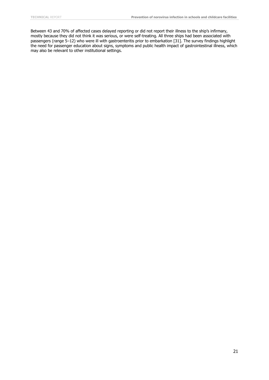Between 43 and 70% of affected cases delayed reporting or did not report their illness to the ship's infirmary, mostly because they did not think it was serious, or were self-treating. All three ships had been associated with passengers (range 5–12) who were ill with gastroenteritis prior to embarkation [31]. The survey findings highlight the need for passenger education about signs, symptoms and public health impact of gastrointestinal illness, which may also be relevant to other institutional settings.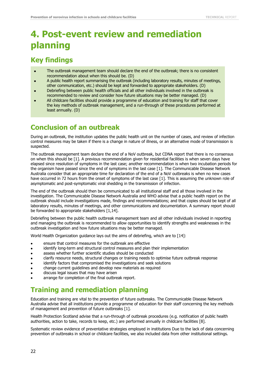## <span id="page-26-0"></span>**4. Post-event review and remediation planning**

### <span id="page-26-1"></span>**Key findings**

- The outbreak management team should declare the end of the outbreak; there is no consistent recommendation about when this should be. (D)
- A public health report summarising the outbreak (including laboratory results, minutes of meetings, other communication, etc.) should be kept and forwarded to appropriate stakeholders. (D)
- Debriefing between public health officials and all other individuals involved in the outbreak is recommended to review and consider how future situations may be better managed. (D)
- All childcare facilities should provide a programme of education and training for staff that cover the key methods of outbreak management, and a run-through of these procedures performed at least annually. (D)

### <span id="page-26-2"></span>**Conclusion of an outbreak**

During an outbreak, the institution updates the public health unit on the number of cases, and review of infection control measures may be taken if there is a change in nature of illness, or an alternative mode of transmission is suspected.

The outbreak management team declare the end of a NoV outbreak, but CDNA report that there is no consensus on when this should be [1]. A previous recommendation given for residential facilities is when seven days have elapsed since resolution of symptoms in the last case; another recommendation is when two incubation periods for the organism have passed since the end of symptoms in the last case [1]. The Communicable Disease Network Australia consider that an appropriate time for declaration of the end of a NoV outbreaks is when no new cases have occurred in 72 hours from the onset of symptoms of the last case [1]. This is assuming the unknown role of asymptomatic and post-symptomatic viral shedding in the transmission of infection.

The end of the outbreak should then be communicated to all institutional staff and all those involved in the investigation. The Communicable Disease Network Australia and WHO advise that a public health report on the outbreak should include investigations made, findings and recommendations; and that copies should be kept of all laboratory results, minutes of meetings, and other communications and documentation. A summary report should be forwarded to appropriate stakeholders [1,14].

Debriefing between the public health outbreak management team and all other individuals involved in reporting and managing the outbreak is recommended to allow opportunities to identify strengths and weaknesses in the outbreak investigation and how future situations may be better managed.

World Health Organization guidance lays out the aims of debriefing, which are to [14]:

- ensure that control measures for the outbreak are effective
- identify long-term and structural control measures and plan their implementation
- assess whether further scientific studies should be conducted
- clarify resource needs, structural changes or training needs to optimise future outbreak response
- identify factors that compromised the investigations and seek solutions
- change current guidelines and develop new materials as required
- discuss legal issues that may have arisen
- arrange for completion of the final outbreak report.

### <span id="page-26-3"></span>**Training and remediation planning**

Education and training are vital to the prevention of future outbreaks. The Communicable Disease Network Australia advise that all institutions provide a programme of education for their staff concerning the key methods of management and prevention of future outbreaks [1].

Health Protection Scotland advise that a run-through of outbreak procedures (e.g. notification of public health authorities, action to take, records to keep, etc.) are performed annually in childcare facilities [8].

Systematic review evidence of preventative strategies employed in institutions Due to the lack of data concerning prevention of outbreaks in school or childcare facilities, we also included data from other institutional settings.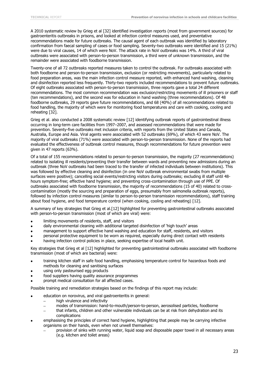A 2010 systematic review by Grieg et al [32] identified investigation reports (most from government sources) for gastroenteritis outbreaks in prisons, and looked at infection control measures used, and preventative recommendations made for future outbreaks. The causal agent of each outbreak was identified by laboratory confirmation from faecal sampling of cases or food sampling. Seventy-two outbreaks were identified and 15 (21%) were due to viral causes, 14 of which were NoV. The attack rate in NoV outbreaks was 14%. A third of viral outbreaks were associated with person-to-person transmission, a third were of unknown transmission, and the remainder were associated with foodborne transmission.

Twenty-one of all 72 outbreaks reported measures taken to control the outbreak. For outbreaks associated with both foodborne and person-to-person transmission, exclusion (or restricting movements), particularly related to food preparation areas, was the main infection control measure reported, with enhanced hand washing, cleaning and disinfection reported less frequently. Thirty-two reports included recommendations to prevent future outbreaks. Of eight outbreaks associated with person-to-person transmission, three reports gave a total 24 different recommendations. The most common recommendation was exclusion/restricting movements of ill prisoners or staff (ten recommendations), and the second was for education in hand washing (three recommendations). Of 48 foodborne outbreaks, 29 reports gave future recommendations, and 68 (40%) of all recommendations related to food handling, the majority of which were for monitoring food temperatures and care with cooking, cooling and reheating [32].

Grieg et al. also conducted a 2008 systematic review [12] identifying outbreak reports of gastrointestinal illness occurring in long-term care facilities from 1997–2007, and assessed recommendations that were made for prevention. Seventy-five outbreaks met inclusion criteria, with reports from the United States and Canada, Australia, Europe and Asia. Viral agents were associated with 52 outbreaks (69%), of which 43 were NoV. The majority of viral outbreaks (71%) were associated with person-to-person transmission. None of the reports had evaluated the effectiveness of outbreak control measures, though recommendations for future prevention were given in 47 reports (63%).

Of a total of 155 recommendations related to person-to-person transmission, the majority (27 recommendations) related to isolating ill residents/preventing their transfer between wards and preventing new admissions during an outbreak (three NoV outbreaks had been traced to the transfer of infected individuals between institutions). This was followed by effective cleaning and disinfection (in one NoV outbreak environmental swabs from multiple surfaces were positive); cancelling social events/restricting visitors during outbreaks; excluding ill staff until 48 hours symptom-free; effective hand hygiene; and preventing cross-contamination through use of PPE. Of outbreaks associated with foodborne transmission, the majority of recommendations (15 of 40) related to crosscontamination (mostly the sourcing and preparation of eggs, presumably from salmonella outbreak reports), followed by infection control measures (similar to person-to-person transmission recommendations), staff training about food hygiene, and food temperature control (when cooking, cooling and reheating) [12].

A summary of key strategies that Grieg et al.[12] highlighted for preventing gastrointestinal outbreaks associated with person-to-person transmission (most of which are viral) were:

- limiting movements of residents, staff, and visitors
- daily environmental cleaning with additional targeted disinfection of 'high touch' areas
- management to support effective hand washing and education for staff, residents, and visitors
- personal protective equipment to be worn as required, especially during direct contact with residents
- having infection control policies in place, seeking expertise of local health unit.

Key strategies that Grieg et al [12] highlighted for preventing gastrointestinal outbreaks associated with foodborne transmission (most of which are bacterial) were:

- training kitchen staff in safe food handling, emphasising temperature control for hazardous foods and methods for cleaning and sanitising surfaces
- using only pasteurised egg products
- food suppliers having quality assurance programmes
- prompt medical consultation for all affected cases.

Possible training and remediation strategies based on the findings of this report may include:

- education on norovirus, and viral gastroenteritis in general:
	- high virulence and infectivity
	- modes of transmission: hand-to-mouth/person-to-person, aerosolised particles, foodborne
	- that infants, children and other vulnerable individuals can be at risk from dehydration and its complications
- emphasising the principles of correct hand hygiene, highlighting that people may be carrying infective organisms on their hands, even when not unwell themselves:
	- provision of sinks with running water, liquid soap and disposable paper towel in all necessary areas (e.g. kitchen and toilet areas)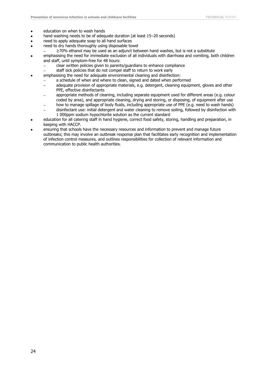- education on when to wash hands
- hand washing needs to be of adequate duration (at least 15–20 seconds)
- need to apply adequate soap to all hand surfaces
- need to dry hands thoroughly using disposable towel
	- ≥70% ethanol may be used as an adjunct between hand washes, but is not a substitute
- emphasising the need for immediate exclusion of all individuals with diarrhoea and vomiting, both children and staff, until symptom-free for 48 hours:
	- clear written policies given to parents/guardians to enhance compliance
	- staff sick policies that do not compel staff to return to work early
	- emphasising the need for adequate environmental cleaning and disinfection:
		- a schedule of when and where to clean, signed and dated when performed
		- adequate provision of appropriate materials, e.g. detergent, cleaning equipment, gloves and other PPE, effective disinfectants
		- appropriate methods of cleaning, including separate equipment used for different areas (e.g. colour coded by area), and appropriate cleaning, drying and storing, or disposing, of equipment after use
		- how to manage spillage of body fluids, including appropriate use of PPE (e.g. need to wash hands)
		- disinfectant use: initial detergent and water cleaning to remove soiling, followed by disinfection with 1 000ppm sodium hypochlorite solution as the current standard
- education for all catering staff in hand hygiene, correct food safety, storing, handling and preparation, in keeping with HACCP.
- ensuring that schools have the necessary resources and information to prevent and manage future outbreaks; this may involve an outbreak response plan that facilitates early recognition and implementation of infection control measures, and outlines responsibilities for collection of relevant information and communication to public health authorities.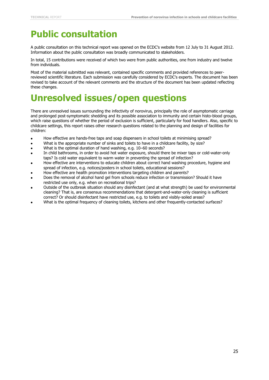## <span id="page-29-0"></span>**Public consultation**

A public consultation on this technical report was opened on the ECDC's website from 12 July to 31 August 2012. Information about the public consultation was broadly communicated to stakeholders.

In total, 15 contributions were received of which two were from public authorities, one from industry and twelve from individuals.

Most of the material submitted was relevant, contained specific comments and provided references to peerreviewed scientific literature. Each submission was carefully considered by ECDC's experts. The document has been revised to take account of the relevant comments and the structure of the document has been updated reflecting these changes.

## <span id="page-29-1"></span>**Unresolved issues/open questions**

There are unresolved issues surrounding the infectivity of norovirus, principally the role of asymptomatic carriage and prolonged post-symptomatic shedding and its possible association to immunity and certain histo-blood groups, which raise questions of whether the period of exclusion is sufficient, particularly for food handlers. Also, specific to childcare settings, this report raises other research questions related to the planning and design of facilities for children:

- How effective are hands-free taps and soap dispensers in school toilets at minimising spread?
- What is the appropriate number of sinks and toilets to have in a childcare facility, by size?
- What is the optimal duration of hand washing, e.g. 10–60 seconds?
- In child bathrooms, in order to avoid hot water exposure, should there be mixer taps or cold-water-only taps? Is cold water equivalent to warm water in preventing the spread of infection?
- How effective are interventions to educate children about correct hand washing procedure, hygiene and spread of infection, e.g. notices/posters in school toilets, educational sessions?
- How effective are health promotion interventions targeting children and parents?
- Does the removal of alcohol hand gel from schools reduce infection or transmission? Should it have restricted use only, e.g. when on recreational trips?
- Outside of the outbreak situation should any disinfectant (and at what strength) be used for environmental cleaning? That is, are consensus recommendations that detergent-and-water-only cleaning is sufficient correct? Or should disinfectant have restricted use, e.g. to toilets and visibly-soiled areas?
- What is the optimal frequency of cleaning toilets, kitchens and other frequently-contacted surfaces?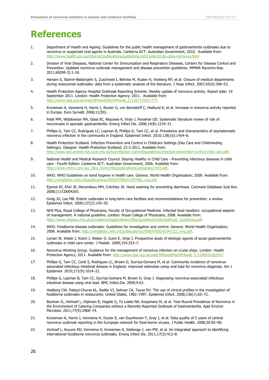## <span id="page-30-0"></span>**References**

- 1. Department of Health and Ageing. Guidelines for the public health management of gastroenteritis outbreaks due to norovirus or suspected viral agents in Australia. Canberra ACT: Australian Government; 2010. Available from: http://www.health.gov.au/internet/publications/publishing.nsf/Content/cda-cdna-norovirus.html
- 2. Division of Viral Diseases, National Center for Immunization and Respiratory Diseases, Centers for Disease Control and Prevention. Updated norovirus outbreak management and disease prevention guidelines. MMWR Recomm.Rep. 2011;60(RR-3):1-18.
- 3. Hansen S, Stamm-Balderjahn S, Zuschneid I, Behnke M, Ruden H, Vonberg RP, et al. Closure of medical departments during nosocomial outbreaks: data from a systematic analysis of the literature. J Hosp Infect. 2007;65(4):348–53.
- 4. Health Protection Agency Hospital Outbreak Reporting Scheme. Weekly update of norovirus activity. Report date: 19 September 2011. London: Health Protection Agency; 2011. Available from: [http://www.hpa.org.uk/web/HPAwebFile/HPAweb\\_C/1287143931777.](http://www.hpa.org.uk/web/HPAwebFile/HPAweb_C/1287143931777)
- 5. Kroneman A, Vennema H, Harris J, Reuter G, von Bonsdorff C, Hedlund K, et al. Increase in norovirus activity reported in Europe. Euro Surveill. 2006;11(50).
- 6. Patel MM, Widdowson MA, Glass RI, Akazawa K, Vinje J, Parashar UD. Systematic literature review of role of noroviruses in sporadic gastroenteritis. Emerg Infect Dis. 2008;14(8):1224–31.
- 7. Phillips G, Tam CC, Rodrigues LC, Lopman B, Phillips G, Tam CC, et al. Prevalence and characteristics of asymptomatic norovirus infection in the community in England. Epidemiol Infect. 2010;138(10):1454–8.
- 8. Health Protection Scotland. Infection Prevention and Control in Childcare Settings (Day Care and Childminding Settings). Glasgow: Health Protection Scotland; 22-2-2011. Available from: [http://www.documents.hps.scot.nhs.uk/hai/infection-control/guidelines/infection-prevention-control-child care.pdf.](http://www.documents.hps.scot.nhs.uk/hai/infection-control/guidelines/infection-prevention-control-childcare.pdf)
- 9. National Health and Medical Research Council. Staying Healthy in Child Care Preventing infectious diseases in child care - Fourth Edition. Canberra ACT: Australian Government; 2006. Available from: [http://www.nhmrc.gov.au/\\_files\\_nhmrc/file/publications/synopses/ch43.pdf.](http://www.nhmrc.gov.au/_files_nhmrc/file/publications/synopses/ch43.pdf)
- 10. WHO. WHO Guidelines on hand hygiene in health care. Geneva: World Health Organization; 2009. Available from: [http://whqlibdoc.who.int/publications/2009/9789241597906\\_eng.pdf.](http://whqlibdoc.who.int/publications/2009/9789241597906_eng.pdf)
- 11. Ejemot RI, Ehiri JE, Meremikwu MM, Critchley JA. Hand washing for preventing diarrhoea. Cochrane Database Syst Rev. 2008;(1):CD004265.
- 12. Greig JD, Lee MB. Enteric outbreaks in long-term care facilities and recommendations for prevention: a review. Epidemiol Infect. 2009;137(2):145–55.
- 13. NHS Plus, Royal College of Physicians, Faculty of Occupational Medicine. Infected food handlers: occupational aspects of management. A national guideline. London: Royal College of Physicians; 2008. Available from: http://www.nhsplus.nhs.uk/providers/images/library/files/guidelines/InfectedFood Guidelines.pdf.
- 14. WHO. Foodborne disease outbreaks: Guidelines for investigation and control. Geneva: World Health Organization; 2008. Available from: [http://whqlibdoc.who.int/publications/2008/9789241547222\\_eng.pdf.](http://whqlibdoc.who.int/publications/2008/9789241547222_eng.pdf)
- 15. Lyman W, Walsh J, Kotch J, Weber D, Gunn E, Vinje J. Prospective study of etiologic agents of acute gastroenteritis outbreaks in child care center. J Pediatr. 2009;154:253–7.
- 16. Norovirus Working Group. Guidance for the management of norovirus infection on cruise ships. London: Health Protection Agency, 2011. Available from: http://www.hpa.org.uk/web/HPAwebFile/HPAweb C/1206520183347.
- 17. Phillips G, Tam CC, Conti S, Rodrigues LC, Brown D, Iturriza-Gomara M, et al. Community incidence of norovirusassociated infectious intestinal disease in England: improved estimates using viral load for norovirus diagnosis. Am J Epidemiol. 2010;171(9):1014–22.
- 18. Phillips G, Lopman B, Tam CC, Iturriza-Gomara M, Brown D, Gray J. Diagnosing norovirus-associated infectious intestinal disease using viral load. BMC Infect.Dis. 2009;9:63.
- 19. Hedberg CW, Palazzi-Churas KL, Radke VJ, Selman CA, Tauxe RV. The use of clinical profiles in the investigation of foodborne outbreaks in restaurants: United States, 1982–1997. Epidemiol Infect. 2008;136(1):65–72.
- 20. Boxman IL, Verhoef L, Dijkman R, Hagele G, Te Loeke NA, Koopmans M, et al. Year-Round Prevalence of Norovirus in the Environment of Catering Companies without a Recently Reported Outbreak of Gastroenteritis. Appl Environ Microbiol. 2011;77(9):2968–74.
- 21. Kroneman A, Harris J, Vennema H, Duzier E, van Duynhoven Y, Gray J, et al. Data quality of 5 years of central norovirus outbreak reporting in the European network for food-borne viruses. J Public Health. 2008;30:82–90.
- 22. Verhoef L, Kouyos RD, Vennema H, Kroneman A, Siebenga J, van PW, et al. An integrated approach to identifying international foodborne norovirus outbreaks. Emerg Infect Dis. 2011;17(3):412–8.